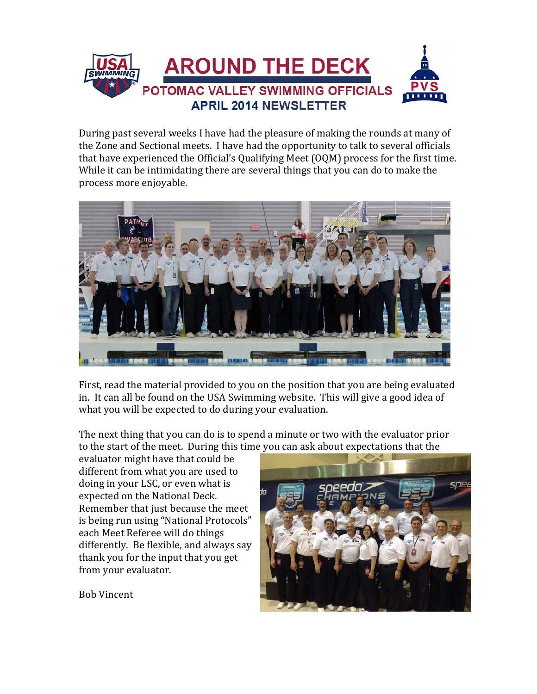

During past several weeks I have had the pleasure of making the rounds at many of the Zone and Sectional meets. I have had the opportunity to talk to several officials that have experienced the Official's Qualifying Meet  $(OQM)$  process for the first time. While it can be intimidating there are several things that you can do to make the process more enjoyable.



First, read the material provided to you on the position that you are being evaluated in. It can all be found on the USA Swimming website. This will give a good idea of what you will be expected to do during your evaluation.

The next thing that you can do is to spend a minute or two with the evaluator prior to the start of the meet. During this time you can ask about expectations that the

evaluator might have that could be different from what you are used to doing in your LSC, or even what is expected on the National Deck. Remember that just because the meet is being run using "National Protocols" each Meet Referee will do things differently. Be flexible, and always say thank you for the input that you get from your evaluator.



Bob Vincent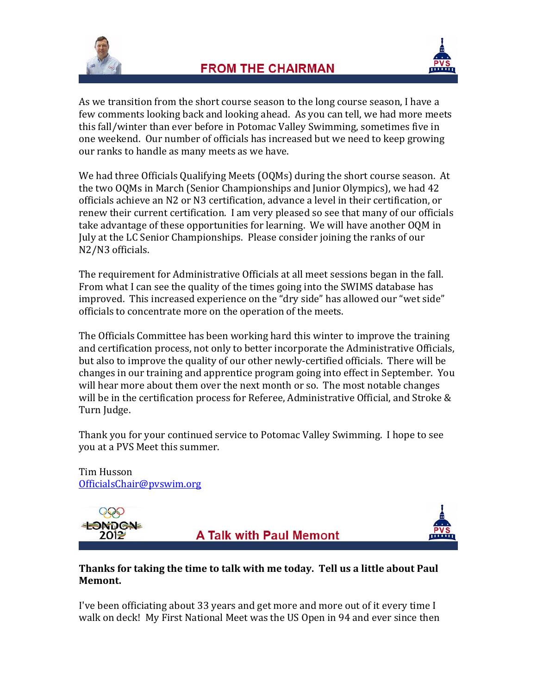



As we transition from the short course season to the long course season, I have a few comments looking back and looking ahead. As you can tell, we had more meets this fall/winter than ever before in Potomac Valley Swimming, sometimes five in one weekend. Our number of officials has increased but we need to keep growing our ranks to handle as many meets as we have.

We had three Officials Qualifying Meets  $(0)$ Ms) during the short course season. At the two OQMs in March (Senior Championships and Junior Olympics), we had 42 officials achieve an N2 or N3 certification, advance a level in their certification, or renew their current certification. I am very pleased so see that many of our officials take advantage of these opportunities for learning. We will have another OQM in July at the LC Senior Championships. Please consider joining the ranks of our N2/N3 officials.

The requirement for Administrative Officials at all meet sessions began in the fall. From what I can see the quality of the times going into the SWIMS database has improved. This increased experience on the "dry side" has allowed our "wet side" officials to concentrate more on the operation of the meets.

The Officials Committee has been working hard this winter to improve the training and certification process, not only to better incorporate the Administrative Officials, but also to improve the quality of our other newly-certified officials. There will be changes in our training and apprentice program going into effect in September. You will hear more about them over the next month or so. The most notable changes will be in the certification process for Referee, Administrative Official, and Stroke  $\&$ Turn Judge.

Thank you for your continued service to Potomac Valley Swimming. I hope to see you at a PVS Meet this summer.

Tim Husson OfficialsChair@pvswim.org 





### **Thanks for taking the time to talk with me today. Tell us a little about Paul Memont.**

I've been officiating about 33 years and get more and more out of it every time  $I$ walk on deck! My First National Meet was the US Open in 94 and ever since then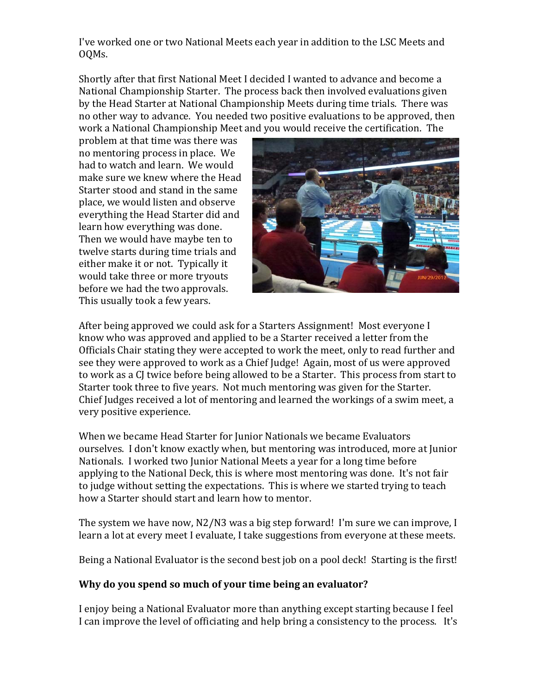I've worked one or two National Meets each year in addition to the LSC Meets and OQMs. 

Shortly after that first National Meet I decided I wanted to advance and become a National Championship Starter. The process back then involved evaluations given by the Head Starter at National Championship Meets during time trials. There was no other way to advance. You needed two positive evaluations to be approved, then work a National Championship Meet and you would receive the certification. The

problem at that time was there was no mentoring process in place. We had to watch and learn. We would make sure we knew where the Head Starter stood and stand in the same place, we would listen and observe everything the Head Starter did and learn how everything was done. Then we would have maybe ten to twelve starts during time trials and either make it or not. Typically it would take three or more tryouts before we had the two approvals. This usually took a few years.



After being approved we could ask for a Starters Assignment! Most everyone I know who was approved and applied to be a Starter received a letter from the Officials Chair stating they were accepted to work the meet, only to read further and see they were approved to work as a Chief Judge! Again, most of us were approved to work as a CJ twice before being allowed to be a Starter. This process from start to Starter took three to five years. Not much mentoring was given for the Starter. Chief Judges received a lot of mentoring and learned the workings of a swim meet, a very positive experience.

When we became Head Starter for Junior Nationals we became Evaluators ourselves. I don't know exactly when, but mentoring was introduced, more at Junior Nationals. I worked two Junior National Meets a year for a long time before applying to the National Deck, this is where most mentoring was done. It's not fair to judge without setting the expectations. This is where we started trying to teach how a Starter should start and learn how to mentor.

The system we have now,  $N2/N3$  was a big step forward! I'm sure we can improve, I learn a lot at every meet I evaluate, I take suggestions from everyone at these meets.

Being a National Evaluator is the second best job on a pool deck! Starting is the first!

### **Why do you spend so much of your time being an evaluator?**

I enjoy being a National Evaluator more than anything except starting because I feel I can improve the level of officiating and help bring a consistency to the process. It's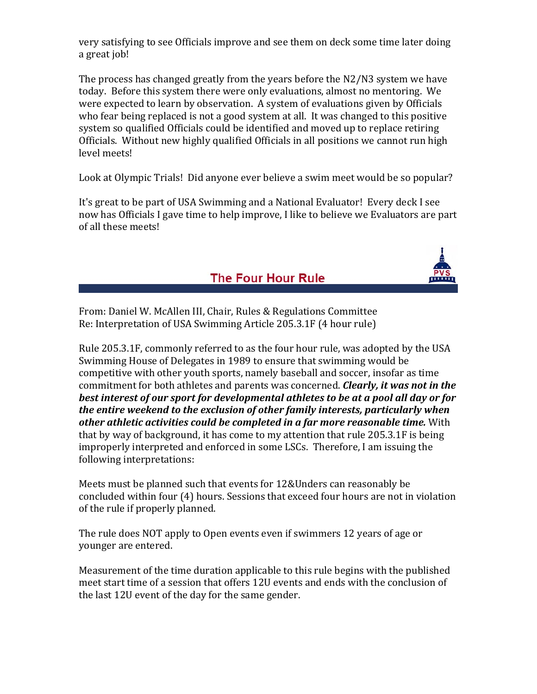very satisfying to see Officials improve and see them on deck some time later doing a great job!

The process has changed greatly from the years before the  $N2/N3$  system we have today. Before this system there were only evaluations, almost no mentoring. We were expected to learn by observation. A system of evaluations given by Officials who fear being replaced is not a good system at all. It was changed to this positive system so qualified Officials could be identified and moved up to replace retiring Officials. Without new highly qualified Officials in all positions we cannot run high level meets!

Look at Olympic Trials! Did anyone ever believe a swim meet would be so popular?

It's great to be part of USA Swimming and a National Evaluator! Every deck I see now has Officials I gave time to help improve, I like to believe we Evaluators are part of all these meets!

The Four Hour Rule



From: Daniel W. McAllen III, Chair, Rules & Regulations Committee Re: Interpretation of USA Swimming Article 205.3.1F (4 hour rule)

Rule 205.3.1F, commonly referred to as the four hour rule, was adopted by the USA Swimming House of Delegates in 1989 to ensure that swimming would be competitive with other youth sports, namely baseball and soccer, insofar as time commitment for both athletes and parents was concerned. *Clearly, it was not in the best interest of our sport for developmental athletes to be at a pool all day or for the entire weekend to the exclusion of other family interests, particularly when other athletic activities could be completed in a far more reasonable time.* With that by way of background, it has come to my attention that rule  $205.3.1F$  is being improperly interpreted and enforced in some LSCs. Therefore, I am issuing the following interpretations:

Meets must be planned such that events for 12&Unders can reasonably be concluded within four (4) hours. Sessions that exceed four hours are not in violation of the rule if properly planned.

The rule does NOT apply to Open events even if swimmers 12 years of age or younger are entered.

Measurement of the time duration applicable to this rule begins with the published meet start time of a session that offers 12U events and ends with the conclusion of the last 12U event of the day for the same gender.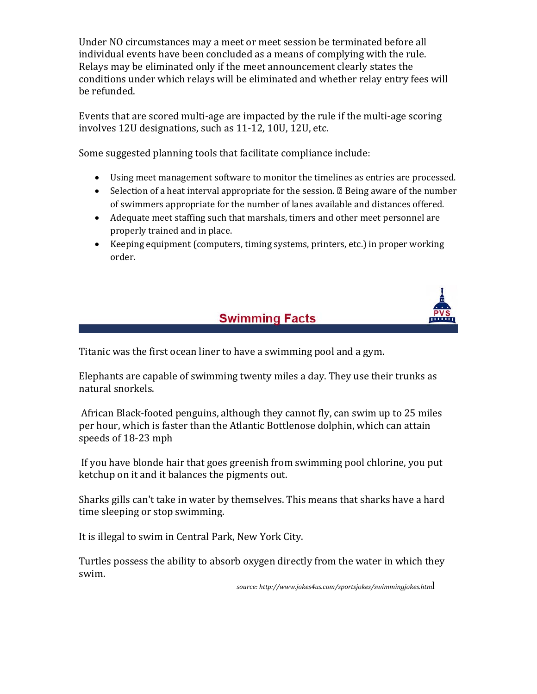Under NO circumstances may a meet or meet session be terminated before all individual events have been concluded as a means of complying with the rule. Relays may be eliminated only if the meet announcement clearly states the conditions under which relays will be eliminated and whether relay entry fees will be refunded.

Events that are scored multi-age are impacted by the rule if the multi-age scoring involves 12U designations, such as 11-12, 10U, 12U, etc.

Some suggested planning tools that facilitate compliance include:

- Using meet management software to monitor the timelines as entries are processed.
- Selection of a heat interval appropriate for the session.  $\mathbb B$  Being aware of the number of swimmers appropriate for the number of lanes available and distances offered.
- Adequate meet staffing such that marshals, timers and other meet personnel are properly trained and in place.
- Keeping equipment (computers, timing systems, printers, etc.) in proper working order.



### **Swimming Facts**

Titanic was the first ocean liner to have a swimming pool and a gym.

Elephants are capable of swimming twenty miles a day. They use their trunks as natural snorkels.

African Black-footed penguins, although they cannot fly, can swim up to 25 miles per hour, which is faster than the Atlantic Bottlenose dolphin, which can attain speeds of 18-23 mph

If you have blonde hair that goes greenish from swimming pool chlorine, you put ketchup on it and it balances the pigments out.

Sharks gills can't take in water by themselves. This means that sharks have a hard time sleeping or stop swimming.

It is illegal to swim in Central Park, New York City.

Turtles possess the ability to absorb oxygen directly from the water in which they swim. 

 *source: http://www.jokes4us.com/sportsjokes/swimmingjokes.htm*l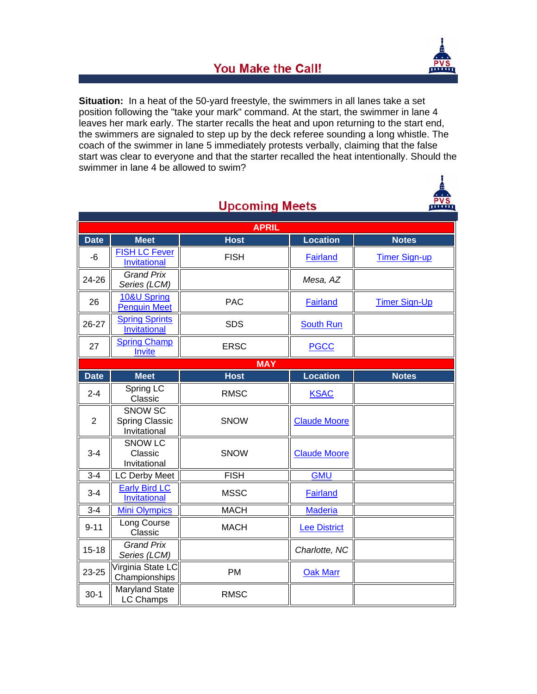

ண்ண

## **You Make the Call!**

**Situation:** In a heat of the 50-yard freestyle, the swimmers in all lanes take a set position following the "take your mark" command. At the start, the swimmer in lane 4 leaves her mark early. The starter recalls the heat and upon returning to the start end, the swimmers are signaled to step up by the deck referee sounding a long whistle. The coach of the swimmer in lane 5 immediately protests verbally, claiming that the false start was clear to everyone and that the starter recalled the heat intentionally. Should the swimmer in lane 4 be allowed to swim?

| <b>APRIL</b>   |                                                         |             |                     |                      |
|----------------|---------------------------------------------------------|-------------|---------------------|----------------------|
| <b>Date</b>    | <b>Meet</b>                                             | <b>Host</b> | <b>Location</b>     | <b>Notes</b>         |
| $-6$           | <b>FISH LC Fever</b><br>Invitational                    | <b>FISH</b> | <b>Fairland</b>     | <b>Timer Sign-up</b> |
| 24-26          | <b>Grand Prix</b><br>Series (LCM)                       |             | Mesa, AZ            |                      |
| 26             | 10&U Spring<br><b>Penguin Meet</b>                      | <b>PAC</b>  | <b>Fairland</b>     | <b>Timer Sign-Up</b> |
| 26-27          | <b>Spring Sprints</b><br>Invitational                   | <b>SDS</b>  | <b>South Run</b>    |                      |
| 27             | <b>Spring Champ</b><br>Invite                           | <b>ERSC</b> | <b>PGCC</b>         |                      |
| <b>MAY</b>     |                                                         |             |                     |                      |
| <b>Date</b>    | <b>Meet</b>                                             | <b>Host</b> | <b>Location</b>     | <b>Notes</b>         |
| $2 - 4$        | Spring LC<br>Classic                                    | <b>RMSC</b> | <b>KSAC</b>         |                      |
| $\overline{2}$ | <b>SNOW SC</b><br><b>Spring Classic</b><br>Invitational | <b>SNOW</b> | <b>Claude Moore</b> |                      |
| $3 - 4$        | <b>SNOW LC</b><br>Classic<br>Invitational               | <b>SNOW</b> | <b>Claude Moore</b> |                      |
| $3 - 4$        | LC Derby Meet                                           | <b>FISH</b> | <b>GMU</b>          |                      |
| $3-4$          | <b>Early Bird LC</b><br>Invitational                    | <b>MSSC</b> | <b>Fairland</b>     |                      |
| $3 - 4$        | <b>Mini Olympics</b>                                    | <b>MACH</b> | <b>Maderia</b>      |                      |
| $9 - 11$       | Long Course<br>Classic                                  | <b>MACH</b> | <b>Lee District</b> |                      |
| $15 - 18$      | <b>Grand Prix</b><br>Series (LCM)                       |             | Charlotte, NC       |                      |
| 23-25          | Virginia State LC<br>Championships                      | PM          | <b>Oak Marr</b>     |                      |
| $30-1$         | Maryland State<br>LC Champs                             | <b>RMSC</b> |                     |                      |

**Uncoming Meets**